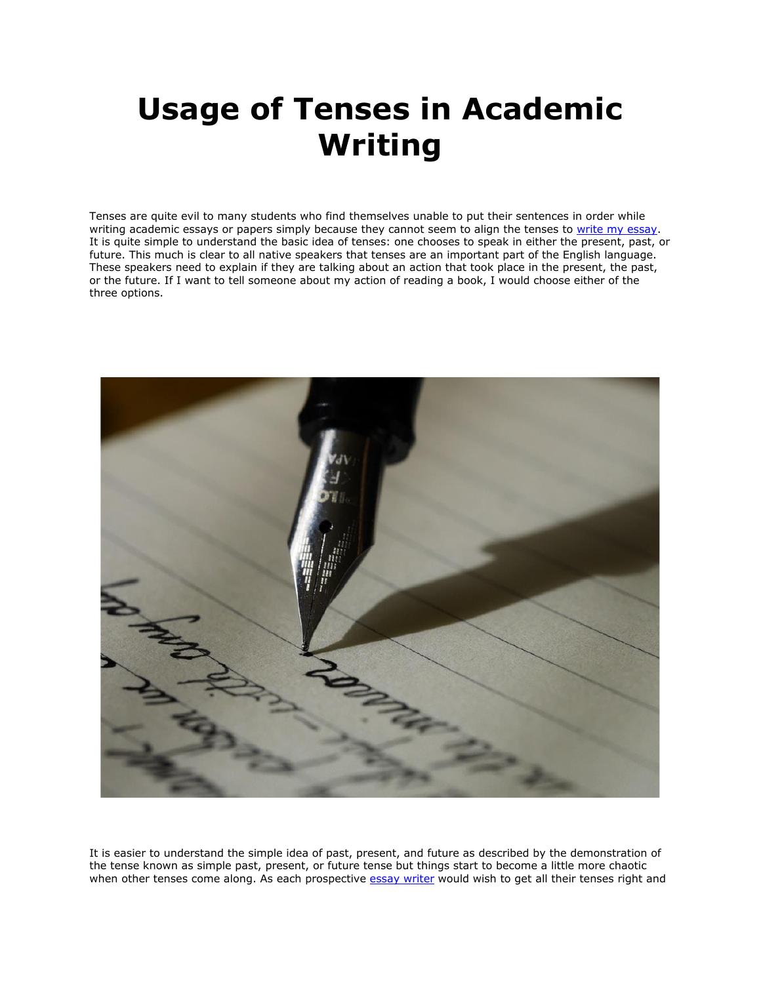## **Usage of Tenses in Academic Writing**

Tenses are quite evil to many students who find themselves unable to put their sentences in order while writing academic essays or papers simply because they cannot seem to align the tenses to [write my essay.](https://www.writemyessay.help/) It is quite simple to understand the basic idea of tenses: one chooses to speak in either the present, past, or future. This much is clear to all native speakers that tenses are an important part of the English language. These speakers need to explain if they are talking about an action that took place in the present, the past, or the future. If I want to tell someone about my action of reading a book, I would choose either of the three options.



It is easier to understand the simple idea of past, present, and future as described by the demonstration of the tense known as simple past, present, or future tense but things start to become a little more chaotic when other tenses come along. As each prospective [essay writer](https://youressaywriter.net/) would wish to get all their tenses right and